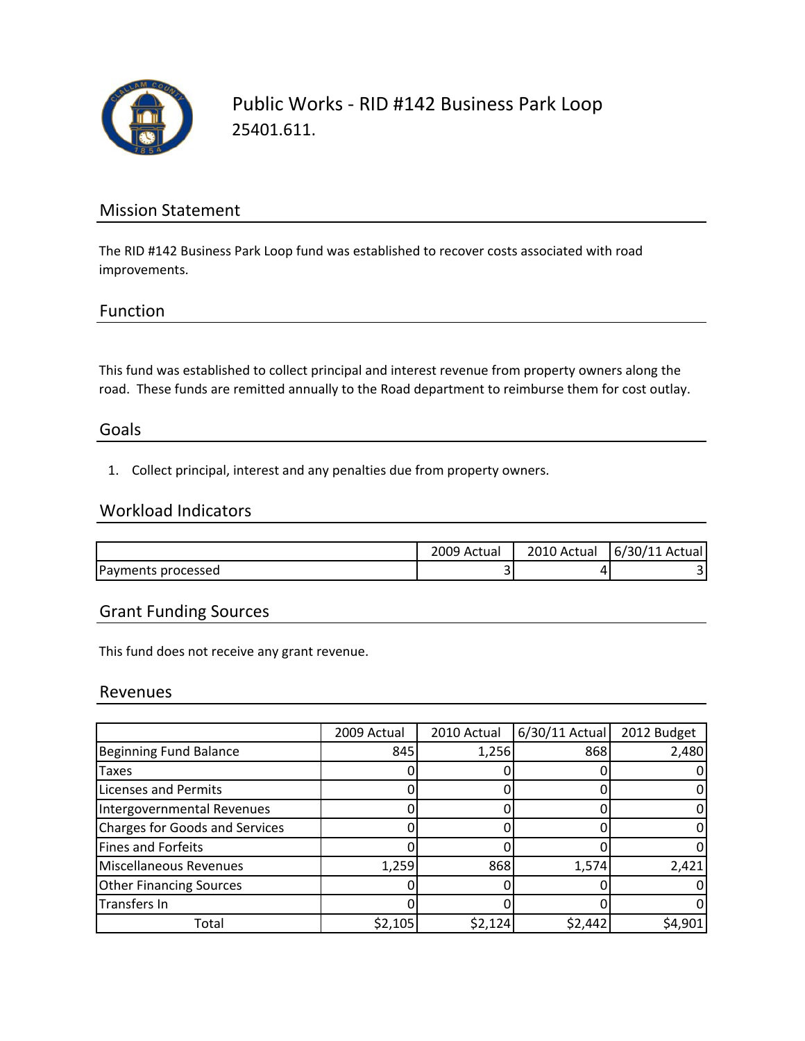

Public Works ‐ RID #142 Business Park Loop 25401.611.

## Mission Statement

The RID #142 Business Park Loop fund was established to recover costs associated with road improvements.

## Function

This fund was established to collect principal and interest revenue from property owners along the road. These funds are remitted annually to the Road department to reimburse them for cost outlay.

### Goals

1. Collect principal, interest and any penalties due from property owners.

## Workload Indicators

|                    | 009 Actual | ، 2010<br>Actual » | 6/30/11 Actual |
|--------------------|------------|--------------------|----------------|
| Payments processed | -<br>ٮ     |                    |                |

## Grant Funding Sources

This fund does not receive any grant revenue.

### Revenues

|                                       | 2009 Actual | 2010 Actual | $6/30/11$ Actual | 2012 Budget |
|---------------------------------------|-------------|-------------|------------------|-------------|
| <b>Beginning Fund Balance</b>         | 845         | 1,256       | 868              | 2,480       |
| Taxes                                 |             |             |                  |             |
| Licenses and Permits                  |             |             |                  |             |
| Intergovernmental Revenues            |             |             |                  |             |
| <b>Charges for Goods and Services</b> |             |             |                  |             |
| Fines and Forfeits                    |             |             |                  |             |
| Miscellaneous Revenues                | 1,259       | 868         | 1,574            | 2,421       |
| <b>Other Financing Sources</b>        |             |             |                  |             |
| <b>Transfers In</b>                   |             |             |                  |             |
| Total                                 | \$2,105     | \$2,124     | \$2,442          | \$4,901     |